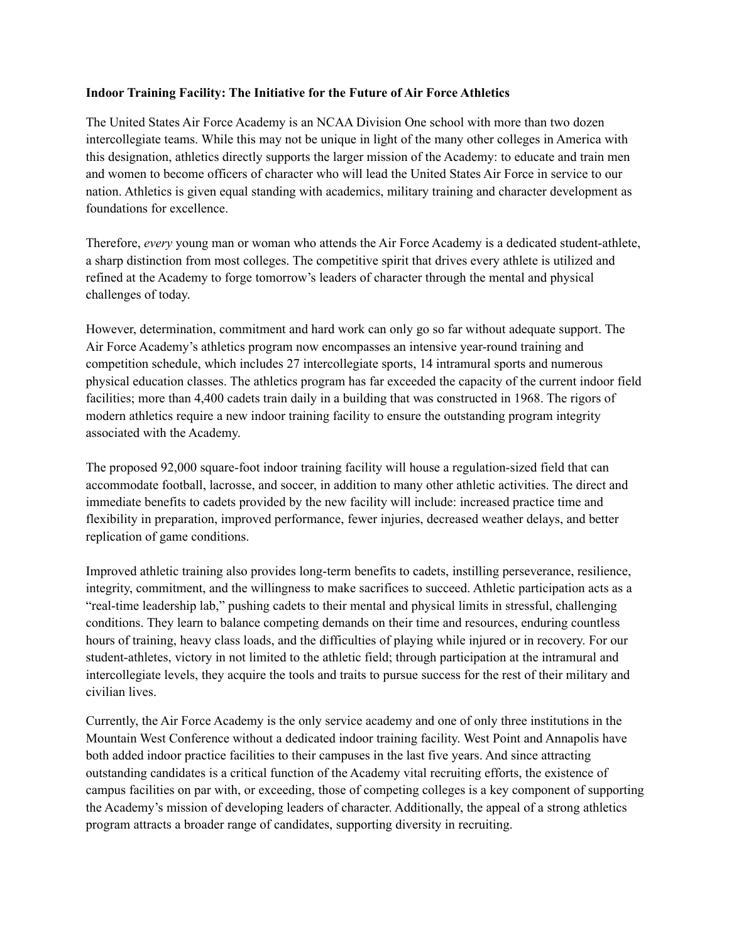## **Indoor Training Facility: The Initiative for the Future of Air Force Athletics**

The United States Air Force Academy is an NCAA Division One school with more than two dozen intercollegiate teams. While this may not be unique in light of the many other colleges in America with this designation, athletics directly supports the larger mission of the Academy: to educate and train men and women to become officers of character who will lead the United States Air Force in service to our nation. Athletics is given equal standing with academics, military training and character development as foundations for excellence.

Therefore, *every* young man or woman who attends the Air Force Academy is a dedicated student-athlete, a sharp distinction from most colleges. The competitive spirit that drives every athlete is utilized and refined at the Academy to forge tomorrow's leaders of character through the mental and physical challenges of today.

However, determination, commitment and hard work can only go so far without adequate support. The Air Force Academy's athletics program now encompasses an intensive year-round training and competition schedule, which includes 27 intercollegiate sports, 14 intramural sports and numerous physical education classes. The athletics program has far exceeded the capacity of the current indoor field facilities; more than 4,400 cadets train daily in a building that was constructed in 1968. The rigors of modern athletics require a new indoor training facility to ensure the outstanding program integrity associated with the Academy.

The proposed 92,000 square-foot indoor training facility will house a regulation-sized field that can accommodate football, lacrosse, and soccer, in addition to many other athletic activities. The direct and immediate benefits to cadets provided by the new facility will include: increased practice time and flexibility in preparation, improved performance, fewer injuries, decreased weather delays, and better replication of game conditions.

Improved athletic training also provides long-term benefits to cadets, instilling perseverance, resilience, integrity, commitment, and the willingness to make sacrifices to succeed. Athletic participation acts as a "real-time leadership lab," pushing cadets to their mental and physical limits in stressful, challenging conditions. They learn to balance competing demands on their time and resources, enduring countless hours of training, heavy class loads, and the difficulties of playing while injured or in recovery. For our student-athletes, victory in not limited to the athletic field; through participation at the intramural and intercollegiate levels, they acquire the tools and traits to pursue success for the rest of their military and civilian lives.

Currently, the Air Force Academy is the only service academy and one of only three institutions in the Mountain West Conference without a dedicated indoor training facility. West Point and Annapolis have both added indoor practice facilities to their campuses in the last five years. And since attracting outstanding candidates is a critical function of the Academy vital recruiting efforts, the existence of campus facilities on par with, or exceeding, those of competing colleges is a key component of supporting the Academy's mission of developing leaders of character. Additionally, the appeal of a strong athletics program attracts a broader range of candidates, supporting diversity in recruiting.